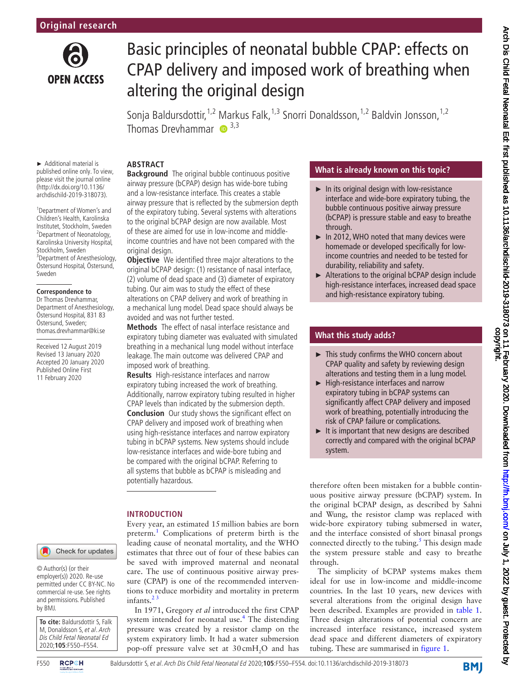

# Basic principles of neonatal bubble CPAP: effects on CPAP delivery and imposed work of breathing when altering the original design

Sonja Baldursdottir,<sup>1,2</sup> Markus Falk,<sup>1,3</sup> Snorri Donaldsson,<sup>1,2</sup> Baldvin Jonsson,<sup>1,2</sup> Thomas Drevhammar  $\bullet$  3,3

#### **Abstract**

► Additional material is published online only. To view, please visit the journal online (http://dx.doi.org/10.1136/ archdischild-2019-318073).

1 Department of Women's and Children's Health, Karolinska Institutet, Stockholm, Sweden 2 Department of Neonatology, Karolinska University Hospital, Stockholm, Sweden 3 Department of Anesthesiology, Östersund Hospital, Östersund, Sweden

#### **Correspondence to**

Dr Thomas Drevhammar, Department of Anesthesiology, Östersund Hospital, 831 83 Östersund, Sweden; thomas.drevhammar@ki.se

Received 12 August 2019 Revised 13 January 2020 Accepted 20 January 2020 Published Online First 11 February 2020

### Check for updates

© Author(s) (or their employer(s)) 2020. Re-use permitted under CC BY-NC. No commercial re-use. See rights and permissions. Published by BMJ.

**To cite:** Baldursdottir S, Falk M, Donaldsson S, et al. Arch Dis Child Fetal Neonatal Ed 2020;**105**:F550–F554.



**Background** The original bubble continuous positive airway pressure (bCPAP) design has wide-bore tubing and a low-resistance interface. This creates a stable airway pressure that is reflected by the submersion depth of the expiratory tubing. Several systems with alterations to the original bCPAP design are now available. Most of these are aimed for use in low-income and middleincome countries and have not been compared with the original design.

**Objective** We identified three major alterations to the original bCPAP design: (1) resistance of nasal interface, (2) volume of dead space and (3) diameter of expiratory tubing. Our aim was to study the effect of these alterations on CPAP delivery and work of breathing in a mechanical lung model. Dead space should always be avoided and was not further tested.

**Methods** The effect of nasal interface resistance and expiratory tubing diameter was evaluated with simulated breathing in a mechanical lung model without interface leakage. The main outcome was delivered CPAP and imposed work of breathing.

**Results** High-resistance interfaces and narrow expiratory tubing increased the work of breathing. Additionally, narrow expiratory tubing resulted in higher CPAP levels than indicated by the submersion depth. **Conclusion** Our study shows the significant effect on CPAP delivery and imposed work of breathing when using high-resistance interfaces and narrow expiratory tubing in bCPAP systems. New systems should include low-resistance interfaces and wide-bore tubing and be compared with the original bCPAP. Referring to all systems that bubble as bCPAP is misleading and potentially hazardous.

#### **Introduction**

Every year, an estimated 15million babies are born preterm.<sup>[1](#page-4-0)</sup> Complications of preterm birth is the leading cause of neonatal mortality, and the WHO estimates that three out of four of these babies can be saved with improved maternal and neonatal care. The use of continuous positive airway pressure (CPAP) is one of the recommended interventions to reduce morbidity and mortality in preterm infants. $2<sup>3</sup>$ 

In 1971, Gregory *et al* introduced the first CPAP system intended for neonatal use.<sup>[4](#page-4-2)</sup> The distending pressure was created by a resistor clamp on the system expiratory limb. It had a water submersion pop-off pressure valve set at  $30 \text{cm} + \text{N}_2$ O and has

#### **What is already known on this topic?**

- $\blacktriangleright$  In its original design with low-resistance interface and wide-bore expiratory tubing, the bubble continuous positive airway pressure (bCPAP) is pressure stable and easy to breathe through.
- ► In 2012, WHO noted that many devices were homemade or developed specifically for lowincome countries and needed to be tested for durability, reliability and safety.
- ► Alterations to the original bCPAP design include high-resistance interfaces, increased dead space and high-resistance expiratory tubing.

## **What this study adds?**

- ► This study confirms the WHO concern about CPAP quality and safety by reviewing design alterations and testing them in a lung model.
- ► High-resistance interfaces and narrow expiratory tubing in bCPAP systems can significantly affect CPAP delivery and imposed work of breathing, potentially introducing the risk of CPAP failure or complications.
- ► It is important that new designs are described correctly and compared with the original bCPAP system.

therefore often been mistaken for a bubble continuous positive airway pressure (bCPAP) system. In the original bCPAP design, as described by Sahni and Wung, the resistor clamp was replaced with wide-bore expiratory tubing submersed in water, and the interface consisted of short binasal prongs connected directly to the tubing. $<sup>5</sup>$  $<sup>5</sup>$  $<sup>5</sup>$  This design made</sup> the system pressure stable and easy to breathe through.

The simplicity of bCPAP systems makes them ideal for use in low-income and middle-income countries. In the last 10 years, new devices with several alterations from the original design have been described. Examples are provided in [table](#page-1-0) 1. Three design alterations of potential concern are increased interface resistance, increased system dead space and different diameters of expiratory tubing. These are summarised in [figure](#page-1-1) 1.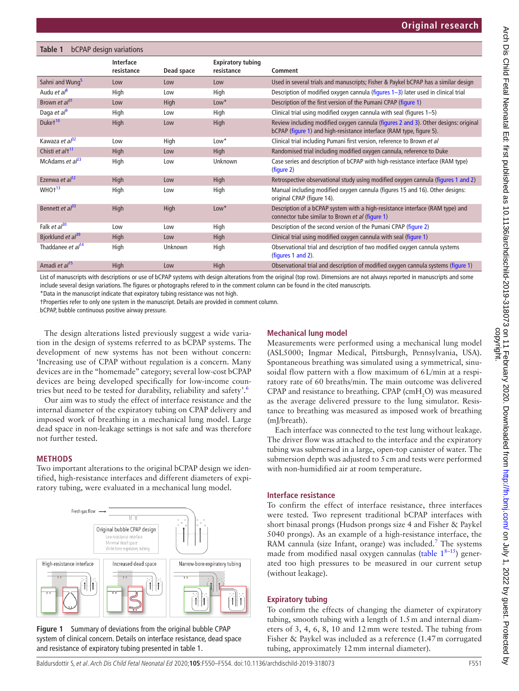# <span id="page-1-0"></span>**Table 1** bCPAP design variations

|                               | <b>Interface</b><br>resistance | Dead space | <b>Expiratory tubing</b><br>resistance | Comment                                                                                                                                                     |
|-------------------------------|--------------------------------|------------|----------------------------------------|-------------------------------------------------------------------------------------------------------------------------------------------------------------|
| Sahni and Wung <sup>5</sup>   | Low                            | Low        | Low                                    | Used in several trials and manuscripts; Fisher & Paykel bCPAP has a similar design                                                                          |
| Audu et al <sup>8</sup>       | High                           | Low        | High                                   | Description of modified oxygen cannula (figures 1-3) later used in clinical trial                                                                           |
| Brown et $a^{31}$             | Low                            | High       | $Low*$                                 | Description of the first version of the Pumani CPAP (figure 1)                                                                                              |
| Daga et $a^{\beta}$           | High                           | Low        | High                                   | Clinical trial using modified oxygen cannula with seal (figures 1-5)                                                                                        |
| Duket <sup>10</sup>           | High                           | Low        | High                                   | Review including modified oxygen cannula (figures 2 and 3). Other designs: original<br>bCPAP (figure 1) and high-resistance interface (RAM type, figure 5). |
| Kawaza et al <sup>32</sup>    | Low                            | High       | $Low*$                                 | Clinical trial including Pumani first version, reference to Brown et al                                                                                     |
| Chisti et al <sup>+11</sup>   | High                           | Low        | High                                   | Randomised trial including modified oxygen cannula, reference to Duke                                                                                       |
| McAdams et $al^{23}$          | High                           | Low        | Unknown                                | Case series and description of bCPAP with high-resistance interface (RAM type)<br>(figure 2)                                                                |
| Ezenwa et al <sup>12</sup>    | High                           | Low        | High                                   | Retrospective observational study using modified oxygen cannula (figures 1 and 2)                                                                           |
| WHO <sup>+13</sup>            | High                           | Low        | High                                   | Manual including modified oxygen cannula (figures 15 and 16). Other designs:<br>original CPAP (figure 14).                                                  |
| Bennett et $a^{33}$           | High                           | High       | $Low*$                                 | Description of a bCPAP system with a high-resistance interface (RAM type) and<br>connector tube similar to Brown et al (figure 1)                           |
| Falk et $al^{30}$             | Low                            | Low        | High                                   | Description of the second version of the Pumani CPAP (figure 2)                                                                                             |
| Bjorklund et al <sup>39</sup> | High                           | Low        | High                                   | Clinical trial using modified oxygen cannula with seal (figure 1)                                                                                           |
| Thaddanee et al <sup>14</sup> | High                           | Unknown    | High                                   | Observational trial and description of two modified oxygen cannula systems<br>(figures 1 and 2).                                                            |
| Amadi et al <sup>15</sup>     | High                           | Low        | High                                   | Observational trial and description of modified oxygen cannula systems (figure 1)                                                                           |

List of manuscripts with descriptions or use of bCPAP systems with design alterations from the original (top row). Dimensions are not always reported in manuscripts and some include several design variations. The figures or photographs refered to in the comment column can be found in the cited manuscripts.

\*Data in the manuscript indicate that expiratory tubing resistance was not high.

†Properties refer to only one system in the manuscript. Details are provided in comment column.

bCPAP, bubble continuous positive airway pressure.

The design alterations listed previously suggest a wide variation in the design of systems referred to as bCPAP systems. The development of new systems has not been without concern: 'Increasing use of CPAP without regulation is a concern. Many devices are in the "homemade" category; several low-cost bCPAP devices are being developed specifically for low-income countries but need to be tested for durability, reliability and safety'[.6](#page-4-18)

Our aim was to study the effect of interface resistance and the internal diameter of the expiratory tubing on CPAP delivery and imposed work of breathing in a mechanical lung model. Large dead space in non-leakage settings is not safe and was therefore not further tested.

#### **Methods**

Two important alterations to the original bCPAP design we identified, high-resistance interfaces and different diameters of expiratory tubing, were evaluated in a mechanical lung model.



<span id="page-1-1"></span>**Figure 1** Summary of deviations from the original bubble CPAP system of clinical concern. Details on interface resistance, dead space and resistance of expiratory tubing presented in [table 1.](#page-1-0)

#### **Mechanical lung model**

Measurements were performed using a mechanical lung model (ASL5000; Ingmar Medical, Pittsburgh, Pennsylvania, USA). Spontaneous breathing was simulated using a symmetrical, sinusoidal flow pattern with a flow maximum of 6L/min at a respiratory rate of 60 breaths/min. The main outcome was delivered CPAP and resistance to breathing. CPAP (cm $H_2O$ ) was measured as the average delivered pressure to the lung simulator. Resistance to breathing was measured as imposed work of breathing (mJ/breath).

Each interface was connected to the test lung without leakage. The driver flow was attached to the interface and the expiratory tubing was submersed in a large, open-top canister of water. The submersion depth was adjusted to 5cm and tests were performed with non-humidified air at room temperature.

#### **Interface resistance**

To confirm the effect of interface resistance, three interfaces were tested. Two represent traditional bCPAP interfaces with short binasal prongs (Hudson prongs size 4 and Fisher & Paykel 5040 prongs). As an example of a high-resistance interface, the RAM cannula (size Infant, orange) was included.<sup>[7](#page-4-19)</sup> The systems made from modified nasal oxygen cannulas [\(table](#page-1-0)  $1^{8-15}$ ) generated too high pressures to be measured in our current setup (without leakage).

#### **Expiratory tubing**

To confirm the effects of changing the diameter of expiratory tubing, smooth tubing with a length of 1.5m and internal diameters of 3, 4, 6, 8, 10 and 12mm were tested. The tubing from Fisher & Paykel was included as a reference (1.47m corrugated tubing, approximately 12mm internal diameter).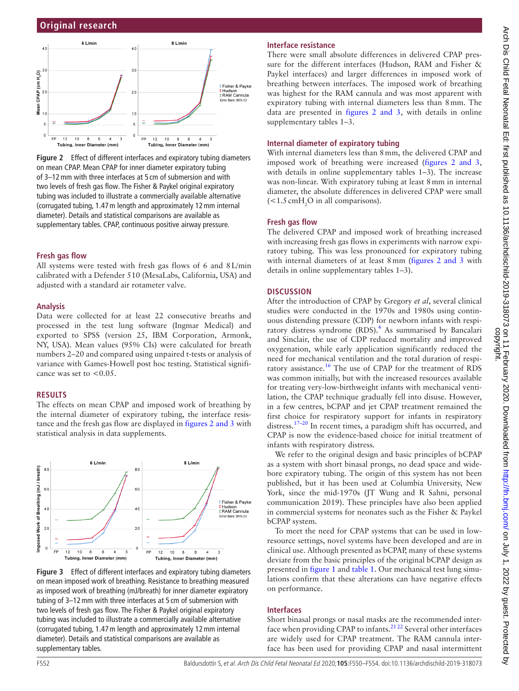

<span id="page-2-0"></span>**Figure 2** Effect of different interfaces and expiratory tubing diameters on mean CPAP. Mean CPAP for inner diameter expiratory tubing of 3–12mm with three interfaces at 5 cm of submersion and with two levels of fresh gas flow. The Fisher & Paykel original expiratory tubing was included to illustrate a commercially available alternative (corrugated tubing, 1.47m length and approximately 12mm internal diameter). Details and statistical comparisons are available as supplementary tables. CPAP, continuous positive airway pressure.

#### **Fresh gas flow**

All systems were tested with fresh gas flows of 6 and 8L/min calibrated with a Defender 510 (MesaLabs, California, USA) and adjusted with a standard air rotameter valve.

#### **Analysis**

Data were collected for at least 22 consecutive breaths and processed in the test lung software (Ingmar Medical) and exported to SPSS (version 25, IBM Corporation, Armonk, NY, USA). Mean values (95% CIs) were calculated for breath numbers 2–20 and compared using unpaired t-tests or analysis of variance with Games-Howell post hoc testing. Statistical significance was set to  $< 0.05$ .

#### **Results**

The effects on mean CPAP and imposed work of breathing by the internal diameter of expiratory tubing, the interface resistance and the fresh gas flow are displayed in figures [2 and 3](#page-2-0) with statistical analysis in data supplements.



<span id="page-2-1"></span>**Figure 3** Effect of different interfaces and expiratory tubing diameters on mean imposed work of breathing. Resistance to breathing measured as imposed work of breathing (mJ/breath) for inner diameter expiratory tubing of 3–12mm with three interfaces at 5 cm of submersion with two levels of fresh gas flow. The Fisher & Paykel original expiratory tubing was included to illustrate a commercially available alternative (corrugated tubing, 1.47m length and approximately 12mm internal diameter). Details and statistical comparisons are available as supplementary tables.

#### **Interface resistance**

There were small absolute differences in delivered CPAP pressure for the different interfaces (Hudson, RAM and Fisher & Paykel interfaces) and larger differences in imposed work of breathing between interfaces. The imposed work of breathing was highest for the RAM cannula and was most apparent with expiratory tubing with internal diameters less than 8mm. The data are presented in figures [2 and 3,](#page-2-0) with details in [online](https://dx.doi.org/10.1136/fetalneonatal-2019-318073) [supplementary tables 1–3.](https://dx.doi.org/10.1136/fetalneonatal-2019-318073)

#### **Internal diameter of expiratory tubing**

With internal diameters less than 8mm, the delivered CPAP and imposed work of breathing were increased (figures [2 and 3,](#page-2-0) with details in [online supplementary tables 1–3\)](https://dx.doi.org/10.1136/fetalneonatal-2019-318073). The increase was non-linear. With expiratory tubing at least 8mm in internal diameter, the absolute differences in delivered CPAP were small  $\leq$  1.5 cmH<sub>2</sub>O in all comparisons).

#### **Fresh gas flow**

The delivered CPAP and imposed work of breathing increased with increasing fresh gas flows in experiments with narrow expiratory tubing. This was less pronounced for expiratory tubing with internal diameters of at least 8 mm (figures [2 and 3](#page-2-0) with details in [online supplementary tables 1–3\)](https://dx.doi.org/10.1136/fetalneonatal-2019-318073).

#### **Discussion**

After the introduction of CPAP by Gregory *et al*, several clinical studies were conducted in the 1970s and 1980s using continuous distending pressure (CDP) for newborn infants with respi-ratory distress syndrome (RDS).<sup>[4](#page-4-2)</sup> As summarised by Bancalari and Sinclair, the use of CDP reduced mortality and improved oxygenation, while early application significantly reduced the need for mechanical ventilation and the total duration of respiratory assistance[.16](#page-4-20) The use of CPAP for the treatment of RDS was common initially, but with the increased resources available for treating very-low-birthweight infants with mechanical ventilation, the CPAP technique gradually fell into disuse. However, in a few centres, bCPAP and jet CPAP treatment remained the first choice for respiratory support for infants in respiratory distress.<sup>17–20</sup> In recent times, a paradigm shift has occurred, and CPAP is now the evidence-based choice for initial treatment of infants with respiratory distress.

We refer to the original design and basic principles of bCPAP as a system with short binasal prongs, no dead space and widebore expiratory tubing. The origin of this system has not been published, but it has been used at Columbia University, New York, since the mid-1970s (JT Wung and R Sahni, personal communication 2019). These principles have also been applied in commercial systems for neonates such as the Fisher & Paykel bCPAP system.

To meet the need for CPAP systems that can be used in lowresource settings, novel systems have been developed and are in clinical use. Although presented as bCPAP, many of these systems deviate from the basic principles of the original bCPAP design as presented in [figure](#page-1-1) 1 and [table](#page-1-0) 1. Our mechanical test lung simulations confirm that these alterations can have negative effects on performance.

#### **Interfaces**

Short binasal prongs or nasal masks are the recommended interface when providing CPAP to infants. $2122$  Several other interfaces are widely used for CPAP treatment. The RAM cannula interface has been used for providing CPAP and nasal intermittent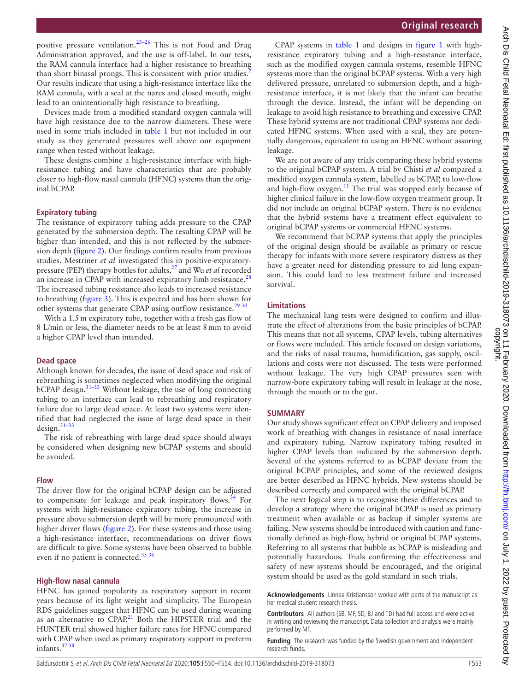positive pressure ventilation.[23–26](#page-4-10) This is not Food and Drug Administration approved, and the use is off-label. In our tests, the RAM cannula interface had a higher resistance to breathing than short binasal prongs. This is consistent with prior studies.<sup>[7](#page-4-19)</sup> Our results indicate that using a high-resistance interface like the RAM cannula, with a seal at the nares and closed mouth, might lead to an unintentionally high resistance to breathing.

Devices made from a modified standard oxygen cannula will have high resistance due to the narrow diameters. These were used in some trials included in [table](#page-1-0) 1 but not included in our study as they generated pressures well above our equipment range when tested without leakage.

These designs combine a high-resistance interface with highresistance tubing and have characteristics that are probably closer to high-flow nasal cannula (HFNC) systems than the original bCPAP.

#### **Expiratory tubing**

The resistance of expiratory tubing adds pressure to the CPAP generated by the submersion depth. The resulting CPAP will be higher than intended, and this is not reflected by the submersion depth [\(figure](#page-2-0) 2). Our findings confirm results from previous studies. Mestriner *et al* investigated this in positive-expiratorypressure (PEP) therapy bottles for adults,[27](#page-4-23) and Wu *et al* recorded an increase in CPAP with increased expiratory limb resistance.<sup>[28](#page-4-24)</sup> The increased tubing resistance also leads to increased resistance to breathing ([figure](#page-2-1) 3). This is expected and has been shown for other systems that generate CPAP using outflow resistance.<sup>[29 30](#page-4-25)</sup>

With a 1.5 m expiratory tube, together with a fresh gas flow of 8 L/min or less, the diameter needs to be at least 8mm to avoid a higher CPAP level than intended.

#### **Dead space**

Although known for decades, the issue of dead space and risk of rebreathing is sometimes neglected when modifying the original  $bCPAP$  design.<sup>31–33</sup> Without leakage, the use of long connecting tubing to an interface can lead to rebreathing and respiratory failure due to large dead space. At least two systems were identified that had neglected the issue of large dead space in their design.[31–33](#page-4-5)

The risk of rebreathing with large dead space should always be considered when designing new bCPAP systems and should be avoided.

#### **Flow**

The driver flow for the original bCPAP design can be adjusted to compensate for leakage and peak inspiratory flows.<sup>34</sup> For systems with high-resistance expiratory tubing, the increase in pressure above submersion depth will be more pronounced with higher driver flows ([figure](#page-2-0) 2). For these systems and those using a high-resistance interface, recommendations on driver flows are difficult to give. Some systems have been observed to bubble even if no patient is connected.<sup>35 36</sup>

#### **High-flow nasal cannula**

HFNC has gained popularity as respiratory support in recent years because of its light weight and simplicity. The European RDS guidelines suggest that HFNC can be used during weaning as an alternative to  $CPAP<sup>21</sup>$  $CPAP<sup>21</sup>$  $CPAP<sup>21</sup>$  Both the HIPSTER trial and the HUNTER trial showed higher failure rates for HFNC compared with CPAP when used as primary respiratory support in preterm infants.<sup>37</sup> 38

CPAP systems in [table](#page-1-0) 1 and designs in [figure](#page-1-1) 1 with highresistance expiratory tubing and a high-resistance interface, such as the modified oxygen cannula systems, resemble HFNC systems more than the original bCPAP systems. With a very high delivered pressure, unrelated to submersion depth, and a highresistance interface, it is not likely that the infant can breathe through the device. Instead, the infant will be depending on leakage to avoid high resistance to breathing and excessive CPAP. These hybrid systems are not traditional CPAP systems nor dedicated HFNC systems. When used with a seal, they are potentially dangerous, equivalent to using an HFNC without assuring leakage.

We are not aware of any trials comparing these hybrid systems to the original bCPAP system. A trial by Chisti *et al* compared a modified oxygen cannula system, labelled as bCPAP, to low-flow and high-flow oxygen.<sup>11</sup> The trial was stopped early because of higher clinical failure in the low-flow oxygen treatment group. It did not include an original bCPAP system. There is no evidence that the hybrid systems have a treatment effect equivalent to original bCPAP systems or commercial HFNC systems.

We recommend that bCPAP systems that apply the principles of the original design should be available as primary or rescue therapy for infants with more severe respiratory distress as they have a greater need for distending pressure to aid lung expansion. This could lead to less treatment failure and increased survival.

#### **Limitations**

The mechanical lung tests were designed to confirm and illustrate the effect of alterations from the basic principles of bCPAP. This means that not all systems, CPAP levels, tubing alternatives or flows were included. This article focused on design variations, and the risks of nasal trauma, humidification, gas supply, oscillations and costs were not discussed. The tests were performed without leakage. The very high CPAP pressures seen with narrow-bore expiratory tubing will result in leakage at the nose, through the mouth or to the gut.

#### **Summary**

Our study shows significant effect on CPAP delivery and imposed work of breathing with changes in resistance of nasal interface and expiratory tubing. Narrow expiratory tubing resulted in higher CPAP levels than indicated by the submersion depth. Several of the systems referred to as bCPAP deviate from the original bCPAP principles, and some of the reviewed designs are better described as HFNC hybrids. New systems should be described correctly and compared with the original bCPAP.

The next logical step is to recognise these differences and to develop a strategy where the original bCPAP is used as primary treatment when available or as backup if simpler systems are failing. New systems should be introduced with caution and functionally defined as high-flow, hybrid or original bCPAP systems. Referring to all systems that bubble as bCPAP is misleading and potentially hazardous. Trials confirming the effectiveness and safety of new systems should be encouraged, and the original system should be used as the gold standard in such trials.

**Acknowledgements** Linnea Kristiansson worked with parts of the manuscript as her medical student research thesis.

**Contributors** All authors (SB, MF, SD, BJ and TD) had full access and were active in writing and reviewing the manuscript. Data collection and analysis were mainly performed by MF.

**Funding** The research was funded by the Swedish government and independent research funds.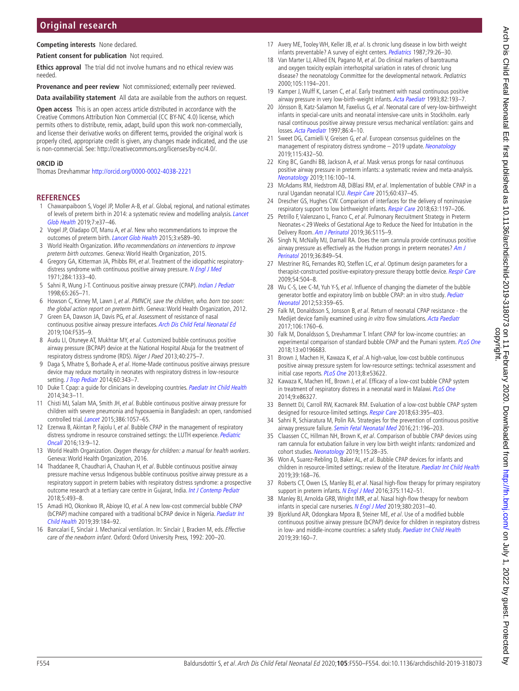# **Original research**

**Competing interests** None declared.

**Patient consent for publication** Not required.

**Ethics approval** The trial did not involve humans and no ethical review was needed.

**Provenance and peer review** Not commissioned; externally peer reviewed.

**Data availability statement** All data are available from the authors on request.

**Open access** This is an open access article distributed in accordance with the Creative Commons Attribution Non Commercial (CC BY-NC 4.0) license, which permits others to distribute, remix, adapt, build upon this work non-commercially, and license their derivative works on different terms, provided the original work is properly cited, appropriate credit is given, any changes made indicated, and the use is non-commercial. See: <http://creativecommons.org/licenses/by-nc/4.0/>.

#### **ORCID iD**

Thomas Drevhammar<http://orcid.org/0000-0002-4038-2221>

#### **References**

- <span id="page-4-0"></span>1 Chawanpaiboon S, Vogel JP, Moller A-B, et al. Global, regional, and national estimates of levels of preterm birth in 2014: a systematic review and modelling analysis. [Lancet](http://dx.doi.org/10.1016/S2214-109X(18)30451-0)  [Glob Health](http://dx.doi.org/10.1016/S2214-109X(18)30451-0) 2019;7:e37–46.
- <span id="page-4-1"></span>2 Vogel JP, Oladapo OT, Manu A, et al. New who recommendations to improve the outcomes of preterm birth. [Lancet Glob Health](http://dx.doi.org/10.1016/S2214-109X(15)00183-7) 2015;3:e589–90.
- 3 World Health Organization. Who recommendations on interventions to improve preterm birth outcomes. Geneva: World Health Organization, 2015.
- <span id="page-4-2"></span>4 Gregory GA, Kitterman JA, Phibbs RH, et al. Treatment of the idiopathic respiratory-distress syndrome with continuous positive airway pressure. [N Engl J Med](http://dx.doi.org/10.1056/NEJM197106172842401) 1971;284:1333–40.
- <span id="page-4-3"></span>5 Sahni R, Wung J-T. Continuous positive airway pressure (CPAP). [Indian J Pediatr](http://dx.doi.org/10.1007/BF02752303) 1998;65:265–71.
- <span id="page-4-18"></span>6 Howson C, Kinney M, Lawn J, et al. PMNCH, save the children, who. born too soon: the global action report on preterm birth. Geneva: World Health Organization, 2012.
- <span id="page-4-19"></span>7 Green EA, Dawson JA, Davis PG, et al. Assessment of resistance of nasal continuous positive airway pressure interfaces. [Arch Dis Child Fetal Neonatal Ed](http://dx.doi.org/10.1136/archdischild-2018-315838) 2019;104:F535–9.
- <span id="page-4-4"></span>8 Audu LI, Otuneye AT, Mukhtar MY, et al. Customized bubble continuous positive airway pressure (BCPAP) device at the National Hospital Abuja for the treatment of respiratory distress syndrome (RDS). Niger J Paed 2013;40:275–7.
- <span id="page-4-6"></span>9 Daga S, Mhatre S, Borhade A, et al. Home-Made continuous positive airways pressure device may reduce mortality in neonates with respiratory distress in low-resource setting. [J Trop Pediatr](http://dx.doi.org/10.1093/tropej/fmu023) 2014;60:343-7.
- <span id="page-4-7"></span>10 Duke T. Cpap: a guide for clinicians in developing countries. [Paediatr Int Child Health](http://dx.doi.org/10.1179/2046905513Y.0000000102) 2014;34:3–11.
- <span id="page-4-9"></span>11 Chisti MJ, Salam MA, Smith JH, et al. Bubble continuous positive airway pressure for children with severe pneumonia and hypoxaemia in Bangladesh: an open, randomised controlled trial. [Lancet](http://dx.doi.org/10.1016/S0140-6736(15)60249-5) 2015;386:1057-65.
- <span id="page-4-11"></span>12 Ezenwa B, Akintan P, Fajolu I, et al. Bubble CPAP in the management of respiratory distress syndrome in resource constrained settings: the LUTH experience. Pediatric [Oncall](http://dx.doi.org/10.7199/ped.oncall.2016.11) 2016;13:9–12.
- <span id="page-4-12"></span>13 World Health Organization. Oxygen therapy for children: a manual for health workers. Geneva: World Health Organization, 2016.
- <span id="page-4-16"></span>14 Thaddanee R, Chaudhari A, Chauhan H, et al. Bubble continuous positive airway pressure machine versus Indigenous bubble continuous positive airway pressure as a respiratory support in preterm babies with respiratory distress syndrome: a prospective outcome research at a tertiary care centre in Gujarat, India. [Int J Contemp Pediatr](http://dx.doi.org/10.18203/2349-3291.ijcp20180542) 2018;5:493–8.
- <span id="page-4-17"></span>15 Amadi HO, Okonkwo IR, Abioye IO, et al. A new low-cost commercial bubble CPAP (bCPAP) machine compared with a traditional bCPAP device in Nigeria. Paediatr Int [Child Health](http://dx.doi.org/10.1080/20469047.2019.1598125) 2019;39:184–92.
- <span id="page-4-20"></span>16 Bancalari E, Sinclair J. Mechanical ventilation. In: Sinclair J, Bracken M, eds. Effective care of the newborn infant. Oxford: Oxford University Press, 1992: 200–20.
- <span id="page-4-21"></span>17 Avery ME, Tooley WH, Keller JB, et al. Is chronic lung disease in low birth weight infants preventable? A survey of eight centers. [Pediatrics](http://www.ncbi.nlm.nih.gov/pubmed/3797169) 1987;79:26-30.
- 18 Van Marter LJ, Allred EN, Pagano M, et al. Do clinical markers of barotrauma and oxygen toxicity explain interhospital variation in rates of chronic lung disease? the neonatology Committee for the developmental network. Pediatrics 2000;105:1194–201.
- 19 Kamper J, Wulff K, Larsen C, et al. Early treatment with nasal continuous positive airway pressure in very low-birth-weight infants. [Acta Paediatr](http://dx.doi.org/10.1111/j.1651-2227.1993.tb12637.x) 1993;82:193-7.
- 20 Jónsson B, Katz-Salamon M, Faxelius G, et al. Neonatal care of very-low-birthweight infants in special-care units and neonatal intensive-care units in Stockholm. early nasal continuous positive airway pressure versus mechanical ventilation: gains and losses. [Acta Paediatr](http://dx.doi.org/10.1111/j.1651-2227.1997.tb18303.x) 1997;86:4–10.
- <span id="page-4-22"></span>21 Sweet DG, Carnielli V, Greisen G, et al. European consensus quidelines on the management of respiratory distress syndrome - 2019 update. [Neonatology](http://dx.doi.org/10.1159/000499361) 2019;115:432–50.
- 22 King BC, Gandhi BB, Jackson A, et al. Mask versus prongs for nasal continuous positive airway pressure in preterm infants: a systematic review and meta-analysis. [Neonatology](http://dx.doi.org/10.1159/000496462) 2019;116:100–14.
- <span id="page-4-10"></span>23 McAdams RM, Hedstrom AB, DiBlasi RM, et al. Implementation of bubble CPAP in a rural Ugandan neonatal ICU. [Respir Care](http://dx.doi.org/10.4187/respcare.03438) 2015;60:437–45.
- 24 Drescher GS, Hughes CW. Comparison of interfaces for the delivery of noninvasive respiratory support to low birthweight infants. [Respir Care](http://dx.doi.org/10.4187/respcare.05978) 2018;63:1197–206.
- 25 Petrillo F, Valenzano L, Franco C, et al. Pulmonary Recruitment Strategy in Preterm Neonates<29 Weeks of Gestational Age to Reduce the Need for Intubation in the Delivery Room. [Am J Perinatol](http://dx.doi.org/10.1055/s-0039-1692134) 2019;36:S115–9.
- 26 Singh N, McNally MJ, Darnall RA. Does the ram cannula provide continuous positive airway pressure as effectively as the Hudson prongs in preterm neonates? Am J [Perinatol](http://dx.doi.org/10.1055/s-0038-1675330) 2019;36:849–54.
- <span id="page-4-23"></span>27 Mestriner RG, Fernandes RO, Steffen LC, et al. Optimum design parameters for a therapist-constructed positive-expiratory-pressure therapy bottle device. [Respir Care](http://www.ncbi.nlm.nih.gov/pubmed/19327187) 2009;54:504–8.
- <span id="page-4-24"></span>28 Wu C-S, Lee C-M, Yuh Y-S, et al. Influence of changing the diameter of the bubble generator bottle and expiratory limb on bubble CPAP: an in vitro study. Pediatr [Neonatol](http://dx.doi.org/10.1016/j.pedneo.2012.08.013) 2012;53:359–65.
- <span id="page-4-25"></span>29 Falk M, Donaldsson S, Jonsson B, et al. Return of neonatal CPAP resistance - the Medijet device family examined using in vitro flow simulations. [Acta Paediatr](http://dx.doi.org/10.1111/apa.13994) 2017;106:1760–6.
- <span id="page-4-14"></span>30 Falk M, Donaldsson S, Drevhammar T. Infant CPAP for low-income countries: an experimental comparison of standard bubble CPAP and the Pumani system. [PLoS One](http://dx.doi.org/10.1371/journal.pone.0196683) 2018;13:e0196683.
- <span id="page-4-5"></span>31 Brown J, Machen H, Kawaza K, et al. A high-value, low-cost bubble continuous positive airway pressure system for low-resource settings: technical assessment and initial case reports. [PLoS One](http://dx.doi.org/10.1371/journal.pone.0053622) 2013;8:e53622.
- <span id="page-4-8"></span>32 Kawaza K, Machen HE, Brown J, et al. Efficacy of a low-cost bubble CPAP system in treatment of respiratory distress in a neonatal ward in Malawi. [PLoS One](http://dx.doi.org/10.1371/journal.pone.0086327) 2014;9:e86327.
- <span id="page-4-13"></span>33 Bennett DJ, Carroll RW, Kacmarek RM. Evaluation of a low-cost bubble CPAP system designed for resource-limited settings. [Respir Care](http://dx.doi.org/10.4187/respcare.05762) 2018;63:395–403.
- <span id="page-4-26"></span>34 Sahni R, Schiaratura M, Polin RA. Strategies for the prevention of continuous positive airway pressure failure. [Semin Fetal Neonatal Med](http://dx.doi.org/10.1016/j.siny.2016.02.008) 2016;21:196-203.
- <span id="page-4-27"></span>35 Claassen CC, Hillman NH, Brown K, et al. Comparison of bubble CPAP devices using ram cannula for extubation failure in very low birth weight infants: randomized and cohort studies. [Neonatology](http://dx.doi.org/10.1159/000493156) 2019;115:28-35.
- 36 Won A, Suarez-Rebling D, Baker AL, et al. Bubble CPAP devices for infants and children in resource-limited settings: review of the literature. [Paediatr Int Child Health](http://dx.doi.org/10.1080/20469047.2018.1534389) 2019;39:168–76.
- <span id="page-4-28"></span>37 Roberts CT, Owen LS, Manley BJ, et al. Nasal high-flow therapy for primary respiratory support in preterm infants. [N Engl J Med](http://dx.doi.org/10.1056/NEJMoa1603694) 2016;375:1142-51.
- 38 Manley BJ, Arnolda GRB, Wright IMR, et al. Nasal high-flow therapy for newborn infants in special care nurseries. [N Engl J Med](http://dx.doi.org/10.1056/NEJMoa1812077) 2019;380:2031-40
- <span id="page-4-15"></span>39 Bjorklund AR, Odongkara Mpora B, Steiner ME, et al. Use of a modified bubble continuous positive airway pressure (bCPAP) device for children in respiratory distress in low- and middle-income countries: a safety study. [Paediatr Int Child Health](http://dx.doi.org/10.1080/20469047.2018.1474698) 2019;39:160–7.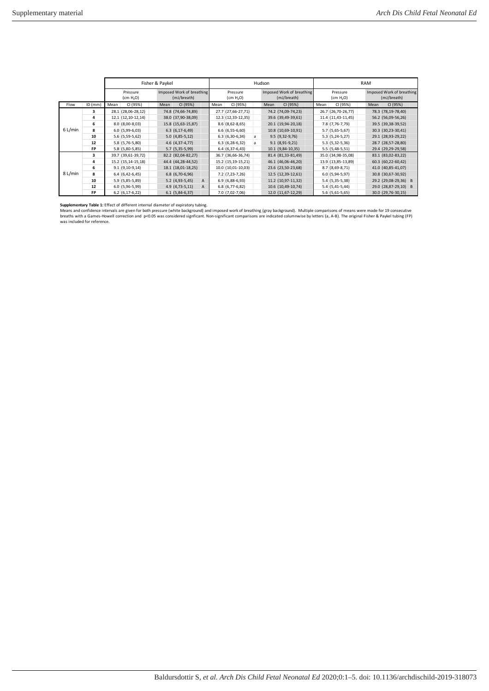|         |           | Fisher & Paykel                                                               |                     |                                   |                    |   | Hudson |                                          |   |                                   |                    |                                          | <b>RAM</b>          |      |                      |   |  |
|---------|-----------|-------------------------------------------------------------------------------|---------------------|-----------------------------------|--------------------|---|--------|------------------------------------------|---|-----------------------------------|--------------------|------------------------------------------|---------------------|------|----------------------|---|--|
|         |           | Imposed Work of breathing<br>Pressure<br>(mJ/breath)<br>(cm H <sub>2</sub> O) |                     | Pressure<br>(cm H <sub>2</sub> O) |                    |   |        | Imposed Work of breathing<br>(mJ/breath) |   | Pressure<br>(cm H <sub>2</sub> O) |                    | Imposed Work of breathing<br>(mJ/breath) |                     |      |                      |   |  |
| Flow    | $ID$ (mm) | Mean                                                                          | CI (95%)            | Mean                              | CI (95%)           |   | Mean   | CI (95%)                                 |   | Mean                              | CI (95%)           | Mean                                     | CI (95%)            | Mean | CI (95%)             |   |  |
|         | 3         |                                                                               | 28.1 (28,06-28,12)  |                                   | 74.8 (74,66-74,89) |   |        | 27.7 (27,66-27,71)                       |   |                                   | 74.2 (74,09-74,23) |                                          | 26.7 (26,70-26,77)  |      | 78.3 (78,19-78,40)   |   |  |
|         | 4         |                                                                               | $12.1(12,10-12,14)$ |                                   | 38.0 (37,90-38,09) |   |        | 12.3 (12,33-12,35)                       |   |                                   | 39.6 (39,49-39,61) |                                          | $11.4(11,43-11,45)$ |      | 56.2 (56,09-56,26)   |   |  |
|         | 6         |                                                                               | $8.0(8,00-8,03)$    |                                   | 15.8 (15,63-15,87) |   |        | $8.6(8,62-8,65)$                         |   |                                   | 20.1 (19,94-20,18) |                                          | 7.8 (7,76-7,79)     |      | 39.5 (39,38-39,52)   |   |  |
| 6 L/min | 8         |                                                                               | $6.0(5,99-6,03)$    |                                   | $6.3(6, 17-6, 49)$ |   |        | $6.6(6,55-6,60)$                         |   |                                   | 10.8 (10,69-10,91) |                                          | $5.7(5,65-5,67)$    |      | 30.3 (30,23-30,41)   |   |  |
|         | 10        |                                                                               | 5.6 (5,59-5,62)     |                                   | $5.0(4,85-5,12)$   |   |        | $6.3(6,30-6,34)$                         | a |                                   | $9.5(9,32-9,76)$   |                                          | $5.3(5,24-5,27)$    |      | 29.1 (28,93-29,22)   |   |  |
|         | 12        |                                                                               | 5.8 (5,76-5,80)     |                                   | 4.6 (4,37-4,77)    |   |        | $6.3(6, 28-6, 32)$                       | a |                                   | $9.1(8,91-9,21)$   |                                          | $5.3(5,32-5,36)$    |      | 28.7 (28,57-28,80)   |   |  |
|         | <b>FP</b> |                                                                               | 5.8 (5,80-5,85)     |                                   | 5.7 (5,35-5,99)    |   |        | $6.4(6,37-6,43)$                         |   |                                   | 10.1 (9,84-10,35)  |                                          | $5.5(5,48-5,51)$    |      | 29.4 (29,29-29,58)   |   |  |
|         | 3         |                                                                               | 39.7 (39,61-39,72)  |                                   | 82.2 (82,04-82,27) |   |        | 36.7 (36,66-36,74)                       |   |                                   | 81.4 (81,33-81,49) |                                          | 35.0 (34,98-35,08)  |      | 83.1 (83,02-83,22)   |   |  |
|         | 4         |                                                                               | 15.2 (15,14-15,18)  |                                   | 44.4 (44,28-44,52) |   |        | 15.2 (15,19-15,21)                       |   |                                   | 46.1 (46,06-46,20) |                                          | 13.9 (13,85-13,89)  |      | 60.3 (60,22-60,42)   |   |  |
|         | 6         |                                                                               | $9.1(9,10-9,14)$    |                                   | 18.1 (18,01-18,25) |   |        | 10.0 (10,01-10,03)                       |   |                                   | 23.6 (23,50-23,68) |                                          | $8.7(8,69-8,71)$    |      | 41.0 (40,85-41,07)   |   |  |
| 8 L/min | 8         |                                                                               | $6.4(6,42-6,45)$    |                                   | $6.8(6,70-6,96)$   |   |        | $7.2$ (7,23-7,26)                        |   |                                   | 12.5 (12,39-12,61) |                                          | $6.0(5,94-5,97)$    |      | 30.8 (30,67-30,92)   |   |  |
|         | 10        |                                                                               | 5.9 (5,85-5,89)     |                                   | 5.2 (4,93-5,45)    | A |        | $6.9(6,88-6,93)$                         |   |                                   | 11.2 (10,97-11,32) |                                          | 5.4 (5,35-5,38)     |      | 29.2 (29,08-29,36)   | B |  |
|         | 12        |                                                                               | $6.0(5,96-5,99)$    |                                   | 4.9 (4,73-5,11)    | A |        | $6.8(6,77-6,82)$                         |   |                                   | 10.6 (10,49-10,74) |                                          | $5.4(5,41-5,44)$    |      | 29.0 (28,87-29,10) B |   |  |
|         | <b>FP</b> |                                                                               | $6.2$ (6,17-6,22)   |                                   | $6.1(5,84-6,37)$   |   |        | $7.0(7,02-7,06)$                         |   |                                   | 12.0 (11,67-12,29) |                                          | $5.6$ (5,61-5,65)   |      | 30.0 (29,76-30,15)   |   |  |

**Supplementary Table 1:** Effect of different internal diameter of expiratory tubing.<br>Means and confidence intervals are given for both pressure (white background) and imposed work of breathing (gray background). Multiple c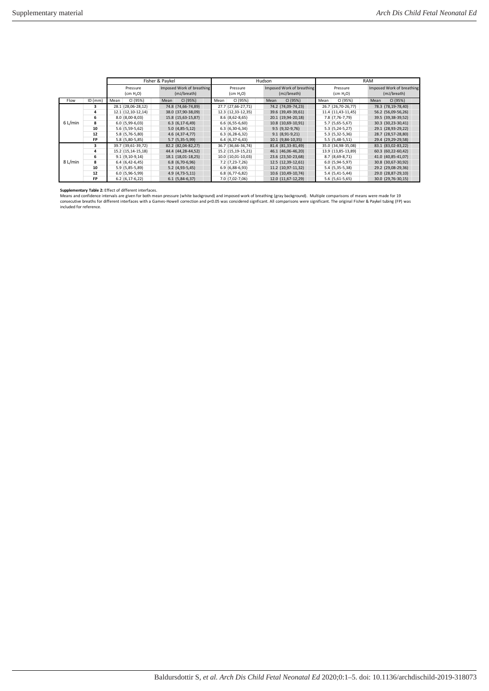|         |           | Fisher & Paykel                                                               |                    |                                   |                     |      |                                          | Hudson |                                   |                    | <b>RAM</b> |                                          |      |                    |  |
|---------|-----------|-------------------------------------------------------------------------------|--------------------|-----------------------------------|---------------------|------|------------------------------------------|--------|-----------------------------------|--------------------|------------|------------------------------------------|------|--------------------|--|
|         |           | Imposed Work of breathing<br>Pressure<br>(mJ/breath)<br>(cm H <sub>2</sub> O) |                    | Pressure<br>(cm H <sub>2</sub> O) |                     |      | Imposed Work of breathing<br>(mJ/breath) |        | Pressure<br>(cm H <sub>2</sub> O) |                    |            | Imposed Work of breathing<br>(mJ/breath) |      |                    |  |
| Flow    | $ID$ (mm) | Mean                                                                          | CI (95%)           | Mean                              | CI (95%)            | Mean | CI (95%)                                 |        | Mean                              | CI (95%)           | Mean       | CI (95%)                                 | Mean | CI (95%)           |  |
|         | 3         |                                                                               | 28.1 (28,06-28,12) |                                   | 74.8 (74,66-74,89)  |      | 27.7 (27,66-27,71)                       |        |                                   | 74.2 (74,09-74,23) |            | 26.7 (26,70-26,77)                       |      | 78.3 (78,19-78,40) |  |
|         | 4         |                                                                               | 12.1 (12,10-12,14) |                                   | 38.0 (37,90-38,09)  |      | 12.3 (12,33-12,35)                       |        |                                   | 39.6 (39,49-39,61) |            | 11.4 (11,43-11,45)                       |      | 56.2 (56,09-56,26) |  |
|         | 6         |                                                                               | $8.0(8,00-8,03)$   |                                   | 15.8 (15,63-15,87)  |      | $8.6$ ( $8,62-8,65$ )                    |        |                                   | 20.1 (19,94-20,18) |            | 7.8 (7,76-7,79)                          |      | 39.5 (39,38-39,52) |  |
| 6 L/min | 8         |                                                                               | $6.0(5,99-6,03)$   |                                   | $6.3(6, 17-6, 49)$  |      | $6.6(6,55-6,60)$                         |        |                                   | 10.8 (10,69-10,91) |            | 5.7 (5,65-5,67)                          |      | 30.3 (30,23-30,41) |  |
|         | 10        |                                                                               | 5.6 (5,59-5,62)    |                                   | $5.0(4,85-5,12)$    |      | $6.3(6,30-6,34)$                         |        |                                   | $9.5(9,32-9,76)$   |            | $5.3(5, 24-5, 27)$                       |      | 29.1 (28,93-29,22) |  |
|         | 12        |                                                                               | 5.8 (5,76-5,80)    |                                   | $4.6$ $(4,37-4,77)$ |      | $6.3(6, 28-6, 32)$                       |        |                                   | $9.1(8,91-9,21)$   |            | $5.3(5,32-5,36)$                         |      | 28.7 (28,57-28,80) |  |
|         | FP        |                                                                               | 5.8 (5,80-5,85)    |                                   | $5.7(5,35-5,99)$    |      | $6.4(6,37-6,43)$                         |        |                                   | 10.1 (9,84-10,35)  |            | $5.5(5, 48-5, 51)$                       |      | 29.4 (29,29-29,58) |  |
|         | 3         |                                                                               | 39.7 (39,61-39,72) |                                   | 82.2 (82,04-82,27)  |      | 36.7 (36,66-36,74)                       |        |                                   | 81.4 (81,33-81,49) |            | 35.0 (34,98-35,08)                       |      | 83.1 (83,02-83,22) |  |
|         | 4         |                                                                               | 15.2 (15,14-15,18) |                                   | 44.4 (44,28-44,52)  |      | 15.2 (15,19-15,21)                       |        |                                   | 46.1 (46,06-46,20) |            | 13.9 (13,85-13,89)                       |      | 60.3 (60,22-60,42) |  |
|         | 6         |                                                                               | $9.1(9,10-9,14)$   |                                   | 18.1 (18,01-18,25)  |      | $10.0$ (10,01-10,03)                     |        |                                   | 23.6 (23,50-23,68) |            | 8.7 (8,69-8,71)                          |      | 41.0 (40,85-41,07) |  |
| 8 L/min | 8         |                                                                               | $6.4(6,42-6,45)$   |                                   | $6.8(6,70-6,96)$    |      | 7.2 (7,23-7,26)                          |        |                                   | 12.5 (12,39-12,61) |            | $6.0(5,94-5,97)$                         |      | 30.8 (30,67-30,92) |  |
|         | 10        |                                                                               | 5.9 (5,85-5,89)    |                                   | $5.2(4,93-5,45)$    |      | $6.9(6,88-6,93)$                         |        |                                   | 11.2 (10,97-11,32) |            | 5.4 (5,35-5,38)                          |      | 29.2 (29,08-29,36) |  |
|         | 12        |                                                                               | $6.0(5,96-5,99)$   |                                   | $4.9(4,73-5,11)$    |      | $6.8(6,77-6,82)$                         |        |                                   | 10.6 (10,49-10,74) |            | $5.4(5, 41-5, 44)$                       |      | 29.0 (28,87-29,10) |  |
|         | FP        |                                                                               | $6.2(6, 17-6, 22)$ |                                   | $6.1(5,84-6,37)$    |      | 7.0 (7,02-7,06)                          |        |                                   | 12.0 (11,67-12,29) |            | $5.6(5,61-5,65)$                         |      | 30.0 (29,76-30,15) |  |

**Supplementary Table 2:** Effect of different interfaces.<br>Means and confidence intervals are given for both mean pressure (white background) and imposed work of breathing (gray background). Multiple comparisons of means wer